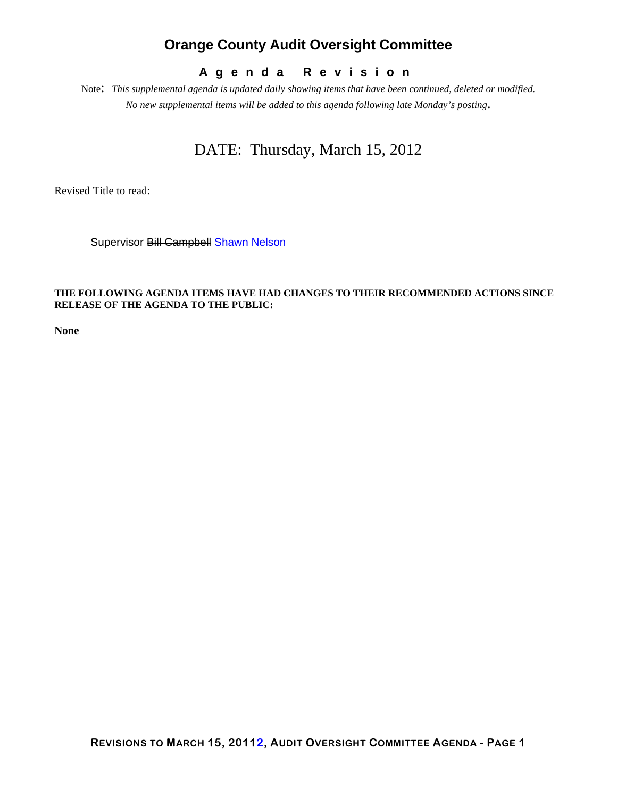## **Orange County Audit Oversight Committee**

## **Agenda Revision**

Note: *This supplemental agenda is updated daily showing items that have been continued, deleted or modified. No new supplemental items will be added to this agenda following late Monday's posting*.

## DATE: Thursday, March 15, 2012

Revised Title to read:

Supervisor Bill Campbell Shawn Nelson

### **THE FOLLOWING AGENDA ITEMS HAVE HAD CHANGES TO THEIR RECOMMENDED ACTIONS SINCE RELEASE OF THE AGENDA TO THE PUBLIC:**

**None**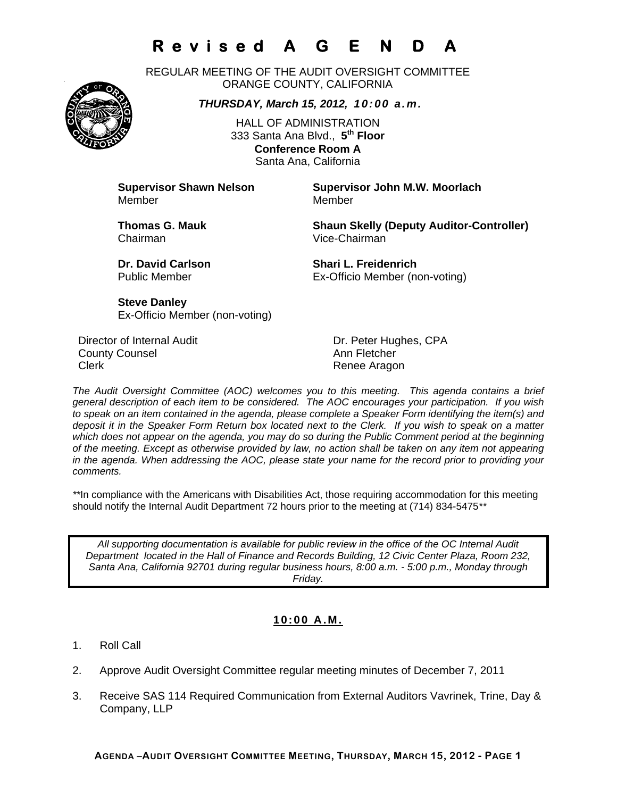# **Revised A G E N D**

REGULAR MEETING OF THE AUDIT OVERSIGHT COMMITTEE ORANGE COUNTY, CALIFORNIA

*THURSDAY, March 15, 2012, 10:00 a.m.*

HALL OF ADMINISTRATION 333 Santa Ana Blvd., **5th Floor Conference Room A**  Santa Ana, California

Member Member

**Supervisor Shawn Nelson Supervisor John M.W. Moorlach**

Chairman Vice-Chairman

**Thomas G. Mauk Shaun Skelly (Deputy Auditor-Controller)** 

**Dr. David Carlson Shari L. Freidenrich** Public Member Ex-Officio Member (non-voting)

**Steve Danley** Ex-Officio Member (non-voting)

Director of Internal Audit **Dr. Peter Hughes, CPA County Counsel Counting County Counsel Ann Fletcher** Clerk **Clerk Renee Aragon** 

*The Audit Oversight Committee (AOC) welcomes you to this meeting. This agenda contains a brief general description of each item to be considered. The AOC encourages your participation. If you wish to speak on an item contained in the agenda, please complete a Speaker Form identifying the item(s) and deposit it in the Speaker Form Return box located next to the Clerk. If you wish to speak on a matter which does not appear on the agenda, you may do so during the Public Comment period at the beginning of the meeting. Except as otherwise provided by law, no action shall be taken on any item not appearing in the agenda. When addressing the AOC, please state your name for the record prior to providing your comments.* 

*\*\**In compliance with the Americans with Disabilities Act, those requiring accommodation for this meeting should notify the Internal Audit Department 72 hours prior to the meeting at (714) 834-5475*\*\** 

*All supporting documentation is available for public review in the office of the OC Internal Audit Department located in the Hall of Finance and Records Building, 12 Civic Center Plaza, Room 232, Santa Ana, California 92701 during regular business hours, 8:00 a.m. - 5:00 p.m., Monday through Friday.* 

## **10:00 A.M.**

- 1. Roll Call
- 2. Approve Audit Oversight Committee regular meeting minutes of December 7, 2011
- 3. Receive SAS 114 Required Communication from External Auditors Vavrinek, Trine, Day & Company, LLP

**AGENDA –AUDIT OVERSIGHT COMMITTEE MEETING, THURSDAY, MARCH 15, 2012 - PAGE 1**